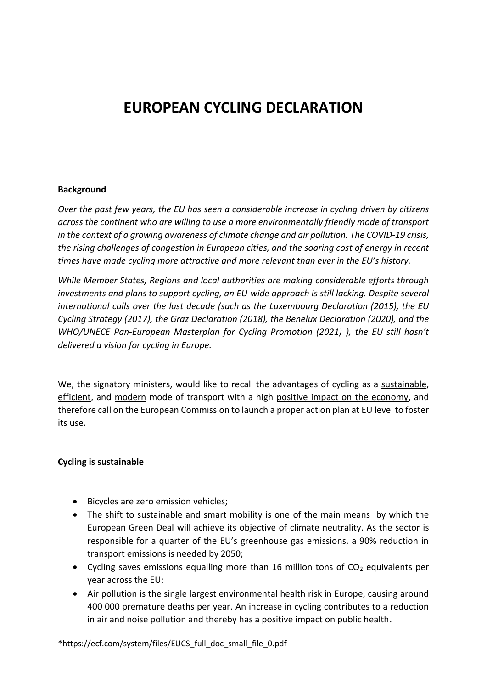# **EUROPEAN CYCLING DECLARATION**

#### **Background**

*Over the past few years, the EU has seen a considerable increase in cycling driven by citizens across the continent who are willing to use a more environmentally friendly mode of transport in the context of a growing awareness of climate change and air pollution. The COVID-19 crisis, the rising challenges of congestion in European cities, and the soaring cost of energy in recent times have made cycling more attractive and more relevant than ever in the EU's history.*

*While Member States, Regions and local authorities are making considerable efforts through investments and plans to support cycling, an EU-wide approach is still lacking. Despite several international calls over the last decade (such as the Luxembourg Declaration (2015), the EU Cycling Strategy (2017), the Graz Declaration (2018), the Benelux Declaration (2020), and the WHO/UNECE Pan-European Masterplan for Cycling Promotion (2021) ), the EU still hasn't delivered a vision for cycling in Europe.*

We, the signatory ministers, would like to recall the advantages of cycling as a sustainable, efficient, and modern mode of transport with a high positive impact on the economy, and therefore call on the European Commission to launch a proper action plan at EU level to foster its use.

## **Cycling is sustainable**

- Bicycles are zero emission vehicles;
- The shift to sustainable and smart mobility is one of the main means by which the European Green Deal will achieve its objective of climate neutrality. As the sector is responsible for a quarter of the EU's greenhouse gas emissions, a 90% reduction in transport emissions is needed by 2050;
- Cycling saves emissions equalling more than 16 million tons of  $CO<sub>2</sub>$  equivalents per year across the EU;
- Air pollution is the single largest environmental health risk in Europe, causing around 400 000 premature deaths per year. An increase in cycling contributes to a reduction in air and noise pollution and thereby has a positive impact on public health.

\*https://ecf.com/system/files/EUCS\_full\_doc\_small\_file\_0.pdf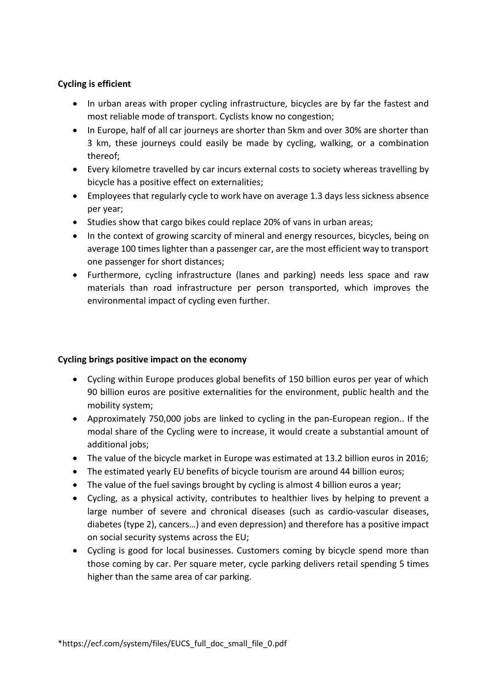## **Cycling is efficient**

- In urban areas with proper cycling infrastructure, bicycles are by far the fastest and most reliable mode of transport. Cyclists know no congestion;
- In Europe, half of all car journeys are shorter than 5km and over 30% are shorter than 3 km, these journeys could easily be made by cycling, walking, or a combination thereof;
- Every kilometre travelled by car incurs external costs to society whereas travelling by bicycle has a positive effect on externalities;
- Employees that regularly cycle to work have on average 1.3 days less sickness absence per year;
- Studies show that cargo bikes could replace 20% of vans in urban areas;
- In the context of growing scarcity of mineral and energy resources, bicycles, being on average 100 times lighter than a passenger car, are the most efficient way to transport one passenger for short distances;
- Furthermore, cycling infrastructure (lanes and parking) needs less space and raw materials than road infrastructure per person transported, which improves the environmental impact of cycling even further.

## **Cycling brings positive impact on the economy**

- Cycling within Europe produces global benefits of 150 billion euros per year of which 90 billion euros are positive externalities for the environment, public health and the mobility system;
- Approximately 750,000 jobs are linked to cycling in the pan-European region.. If the modal share of the Cycling were to increase, it would create a substantial amount of additional jobs;
- The value of the bicycle market in Europe was estimated at 13.2 billion euros in 2016;
- The estimated yearly EU benefits of bicycle tourism are around 44 billion euros;
- The value of the fuel savings brought by cycling is almost 4 billion euros a year;
- Cycling, as a physical activity, contributes to healthier lives by helping to prevent a large number of severe and chronical diseases (such as cardio-vascular diseases, diabetes (type 2), cancers…) and even depression) and therefore has a positive impact on social security systems across the EU;
- Cycling is good for local businesses. Customers coming by bicycle spend more than those coming by car. Per square meter, cycle parking delivers retail spending 5 times higher than the same area of car parking.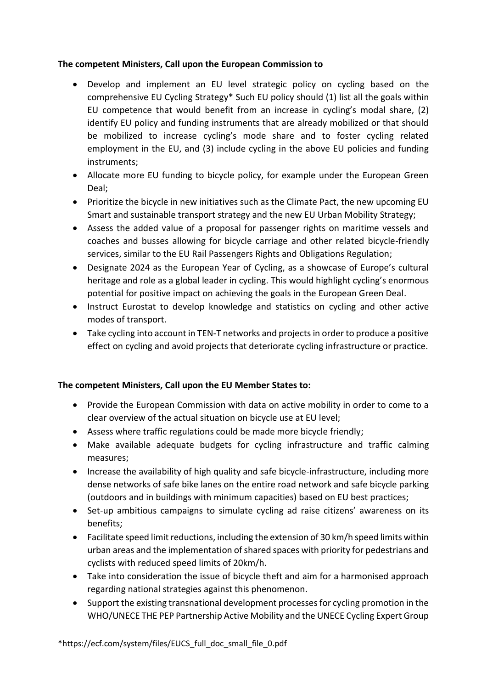## **The competent Ministers, Call upon the European Commission to**

- Develop and implement an EU level strategic policy on cycling based on the comprehensive EU Cycling Strategy\* Such EU policy should (1) list all the goals within EU competence that would benefit from an increase in cycling's modal share, (2) identify EU policy and funding instruments that are already mobilized or that should be mobilized to increase cycling's mode share and to foster cycling related employment in the EU, and (3) include cycling in the above EU policies and funding instruments;
- Allocate more EU funding to bicycle policy, for example under the European Green Deal;
- Prioritize the bicycle in new initiatives such as the Climate Pact, the new upcoming EU Smart and sustainable transport strategy and the new EU Urban Mobility Strategy;
- Assess the added value of a proposal for passenger rights on maritime vessels and coaches and busses allowing for bicycle carriage and other related bicycle-friendly services, similar to the EU Rail Passengers Rights and Obligations Regulation;
- Designate 2024 as the European Year of Cycling, as a showcase of Europe's cultural heritage and role as a global leader in cycling. This would highlight cycling's enormous potential for positive impact on achieving the goals in the European Green Deal.
- Instruct Eurostat to develop knowledge and statistics on cycling and other active modes of transport.
- Take cycling into account in TEN-T networks and projects in order to produce a positive effect on cycling and avoid projects that deteriorate cycling infrastructure or practice.

## **The competent Ministers, Call upon the EU Member States to:**

- Provide the European Commission with data on active mobility in order to come to a clear overview of the actual situation on bicycle use at EU level;
- Assess where traffic regulations could be made more bicycle friendly;
- Make available adequate budgets for cycling infrastructure and traffic calming measures;
- Increase the availability of high quality and safe bicycle-infrastructure, including more dense networks of safe bike lanes on the entire road network and safe bicycle parking (outdoors and in buildings with minimum capacities) based on EU best practices;
- Set-up ambitious campaigns to simulate cycling ad raise citizens' awareness on its benefits;
- Facilitate speed limit reductions, including the extension of 30 km/h speed limits within urban areas and the implementation of shared spaces with priority for pedestrians and cyclists with reduced speed limits of 20km/h.
- Take into consideration the issue of bicycle theft and aim for a harmonised approach regarding national strategies against this phenomenon.
- Support the existing transnational development processes for cycling promotion in the WHO/UNECE THE PEP Partnership Active Mobility and the UNECE Cycling Expert Group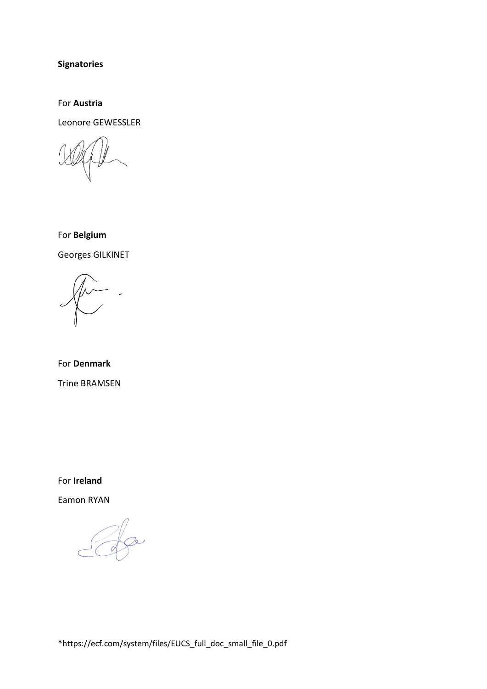**Signatories**

For **Austria**

Leonore GEWESSLER

For **Belgium** Georges GILKINET

For **Denmark** Trine BRAMSEN

For **Ireland**

Eamon RYAN